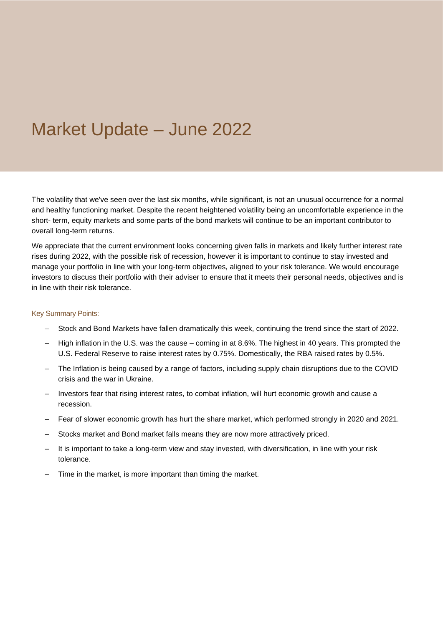# Market Update – June 2022

The volatility that we've seen over the last six months, while significant, is not an unusual occurrence for a normal and healthy functioning market. Despite the recent heightened volatility being an uncomfortable experience in the short- term, equity markets and some parts of the bond markets will continue to be an important contributor to overall long-term returns.

We appreciate that the current environment looks concerning given falls in markets and likely further interest rate rises during 2022, with the possible risk of recession, however it is important to continue to stay invested and manage your portfolio in line with your long-term objectives, aligned to your risk tolerance. We would encourage investors to discuss their portfolio with their adviser to ensure that it meets their personal needs, objectives and is in line with their risk tolerance.

#### Key Summary Points:

- Stock and Bond Markets have fallen dramatically this week, continuing the trend since the start of 2022.
- High inflation in the U.S. was the cause coming in at 8.6%. The highest in 40 years. This prompted the U.S. Federal Reserve to raise interest rates by 0.75%. Domestically, the RBA raised rates by 0.5%.
- The Inflation is being caused by a range of factors, including supply chain disruptions due to the COVID crisis and the war in Ukraine.
- Investors fear that rising interest rates, to combat inflation, will hurt economic growth and cause a recession.
- Fear of slower economic growth has hurt the share market, which performed strongly in 2020 and 2021.
- Stocks market and Bond market falls means they are now more attractively priced.
- It is important to take a long-term view and stay invested, with diversification, in line with your risk tolerance.
- Time in the market, is more important than timing the market.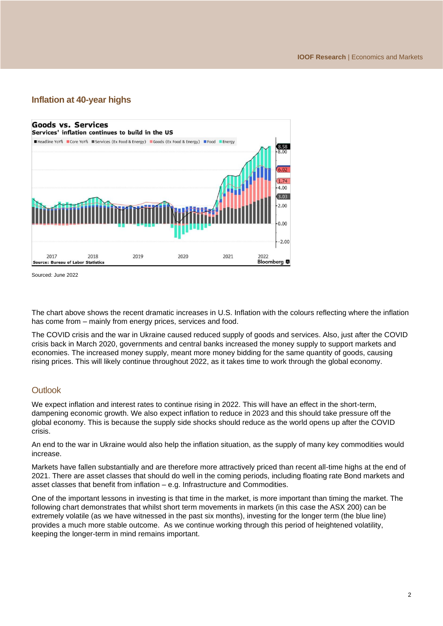# **Inflation at 40-year highs**



Sourced: June 2022

The chart above shows the recent dramatic increases in U.S. Inflation with the colours reflecting where the inflation has come from – mainly from energy prices, services and food.

The COVID crisis and the war in Ukraine caused reduced supply of goods and services. Also, just after the COVID crisis back in March 2020, governments and central banks increased the money supply to support markets and economies. The increased money supply, meant more money bidding for the same quantity of goods, causing rising prices. This will likely continue throughout 2022, as it takes time to work through the global economy.

## **Outlook**

We expect inflation and interest rates to continue rising in 2022. This will have an effect in the short-term, dampening economic growth. We also expect inflation to reduce in 2023 and this should take pressure off the global economy. This is because the supply side shocks should reduce as the world opens up after the COVID crisis.

An end to the war in Ukraine would also help the inflation situation, as the supply of many key commodities would increase.

Markets have fallen substantially and are therefore more attractively priced than recent all-time highs at the end of 2021. There are asset classes that should do well in the coming periods, including floating rate Bond markets and asset classes that benefit from inflation – e.g. Infrastructure and Commodities.

One of the important lessons in investing is that time in the market, is more important than timing the market. The following chart demonstrates that whilst short term movements in markets (in this case the ASX 200) can be extremely volatile (as we have witnessed in the past six months), investing for the longer term (the blue line) provides a much more stable outcome. As we continue working through this period of heightened volatility, keeping the longer-term in mind remains important.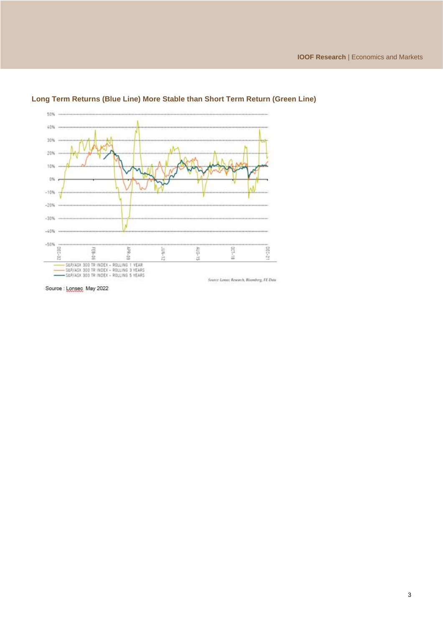

### **Long Term Returns (Blue Line) More Stable than Short Term Return (Green Line)**

Source : Lonsec May 2022